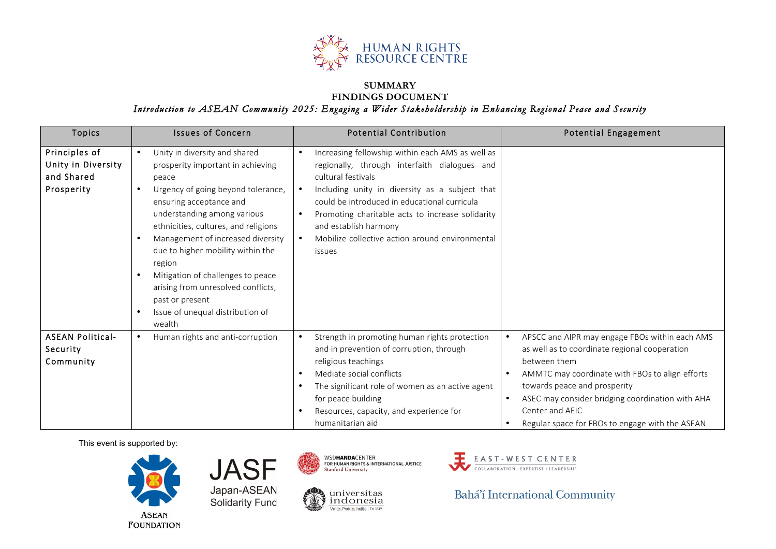

## **SUMMARY FINDINGS DOCUMENT**

*Introduction to ASEAN Community 2025: Engaging a Wider Stakeholdership in Enhancing Regional Peace and Security* 

| <b>Topics</b>                                                   | <b>Issues of Concern</b>                                                                                                                                                                                                                                                                                                                                                                                                                            | <b>Potential Contribution</b>                                                                                                                                                                                                                                                                                                                                                                                                 | <b>Potential Engagement</b>                                                                                                                                                                                                                                                                                                  |
|-----------------------------------------------------------------|-----------------------------------------------------------------------------------------------------------------------------------------------------------------------------------------------------------------------------------------------------------------------------------------------------------------------------------------------------------------------------------------------------------------------------------------------------|-------------------------------------------------------------------------------------------------------------------------------------------------------------------------------------------------------------------------------------------------------------------------------------------------------------------------------------------------------------------------------------------------------------------------------|------------------------------------------------------------------------------------------------------------------------------------------------------------------------------------------------------------------------------------------------------------------------------------------------------------------------------|
| Principles of<br>Unity in Diversity<br>and Shared<br>Prosperity | Unity in diversity and shared<br>prosperity important in achieving<br>peace<br>Urgency of going beyond tolerance,<br>ensuring acceptance and<br>understanding among various<br>ethnicities, cultures, and religions<br>Management of increased diversity<br>due to higher mobility within the<br>region<br>Mitigation of challenges to peace<br>arising from unresolved conflicts,<br>past or present<br>Issue of unequal distribution of<br>wealth | Increasing fellowship within each AMS as well as<br>$\bullet$<br>regionally, through interfaith dialogues and<br>cultural festivals<br>Including unity in diversity as a subject that<br>$\bullet$<br>could be introduced in educational curricula<br>Promoting charitable acts to increase solidarity<br>$\bullet$<br>and establish harmony<br>Mobilize collective action around environmental<br>$\bullet$<br><i>issues</i> |                                                                                                                                                                                                                                                                                                                              |
| <b>ASEAN Political-</b><br>Security<br>Community                | Human rights and anti-corruption                                                                                                                                                                                                                                                                                                                                                                                                                    | Strength in promoting human rights protection<br>$\bullet$<br>and in prevention of corruption, through<br>religious teachings<br>Mediate social conflicts<br>$\bullet$<br>The significant role of women as an active agent<br>$\bullet$<br>for peace building<br>Resources, capacity, and experience for<br>$\bullet$<br>humanitarian aid                                                                                     | APSCC and AIPR may engage FBOs within each AMS<br>as well as to coordinate regional cooperation<br>between them<br>AMMTC may coordinate with FBOs to align efforts<br>towards peace and prosperity<br>ASEC may consider bridging coordination with AHA<br>Center and AEIC<br>Regular space for FBOs to engage with the ASEAN |

This event is supported by:







 $\underset{\text{Veritas, Probitas, Iusitiial } \in \text{st. B49}}{\text{undomesia}}$ 



Bahá'í International Community